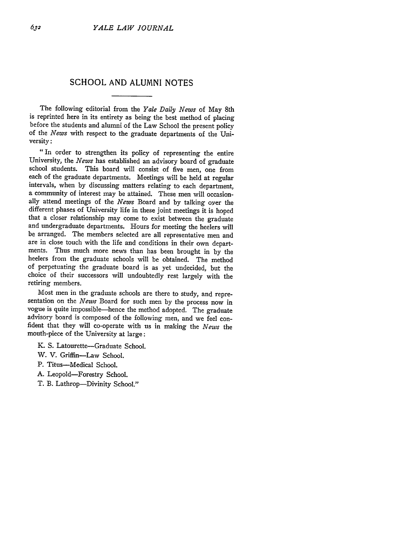# **SCHOOL AND ALUMNI NOTES**

The following editorial from the *Yale Daily News* of May 8th is reprinted here in its entirety as being the best method of placing before the students and alumni of the Law School the present policy of the *News* with respect to the graduate departments of the University:

*"In* order to strengthen its policy of representing the entire University, the *News* has established an advisory board of graduate school students. This board will consist of five men, one from each of the graduate departments. Meetings will be held at regular intervals, when by discussing matters relating to each department, a community of interest may be attained. These men will occasionally attend meetings of the *News* Board and by talking over the different phases of University life in these joint meetings it is hoped that a closer relationship may come to exist between the graduate and undergraduate departments. Hours for meeting the heelers will be arranged. The members selected are all representative men and are in close touch with the life and conditions in their own departments. Thus much more news than has been brought in by the heelers from the graduate schools will be obtained. The method of perpetuating the graduate board is as yet undecided, but the choice of their successors will undoubtedly rest largely with the retiring members.

Most men in the graduate schools are there to study, and representation on the *News* Board for such men by the process now in vogue is quite impossible-hence the method adopted. The graduate advisory board is composed of the following men, and we feel confident that they will co-operate with us in making the *News* the mouth-piece of the University at large:

- K. S. Latourette-Graduate School.
- W. V. Griffin-Law School.
- P. Titus-Medical School.
- A. Leopold-Forestry School.
- T. B. Lathrop-Divinity School."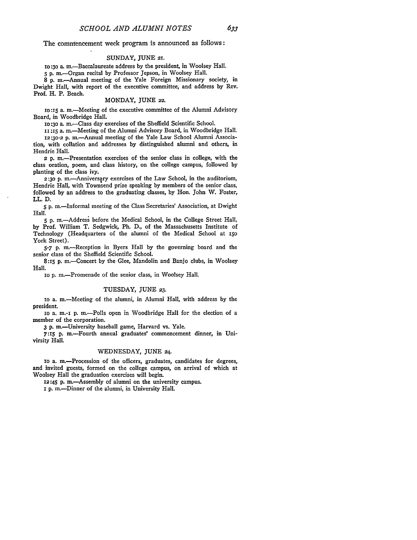The commencement week program is announced as follows:

### SUNDAY, JUNE **21.**

**10:30** a. m.-Baccalaureate address by the president, in Woolsey Hall. **5 p.** m.-Organ recital by Professor Jepson, in Woolsey Hall.

8 **p.** m.-Annual meeting of the Yale Foreign Missionary society, in Dwight Hall, with report of the executive committee, and address **by** Rev. Prof. H. P. Beach.

#### MONDAY, JUNE *22.*

**IO:15** a. m.-Meeting of the executive committee of the Alumni Advisory Board, in Woodbridge Hall.

1O:3O a. m.-Class day exercises of the Sheffield Scientific School.

1 **:15** a. m.-Meeting of the Alumni Advisory Board, in Woodbridge Hall.

12:30-2 p. m.-Annual meeting of the Yale Law School Alumni Association, with collation and addresses **by** distinguished alumni and others, in Hendrie Hall.

**2 p.** m.-Presentation exercises of the senior class in college, with the class oration, poem, and class history, on the college campus, followed **by** planting of the class ivy.

2:30 p. m.-Anniversary exercises of the Law School, in the auditorium, Hendrie Hall, with Townsend prize speaking **by** members of the senior class, followed **by** an address to the graduating classes, **by** Hon. John W. Foster, LL. **D.**

**5** P. m.-Informal meeting of the Class Secretaries' Association, at Dwight Hall.

**5 p.** m.-Address before the Medical School, in the College Street Hall, **by** Prof. William T. Sedgwick, Ph. **D.,** of the Massachusetts Institute of Technology (Headquarters of the alumni of the Medical School at i5o York Street).

**5-7** P. m.-Reception in Byers Hall **by** the governing board and the senior class of the Sheffield Scientific School.

8:15 **p.** m.-Concert **by** the Glee, Mandolin and Banjo clubs, in Woolsey Hall.

io **p.** m.-Promenade of the senior class, in Woolsey Hall.

#### **TUESDAY, JUNE 23.**

io a. m.-Meeting of the alumni, in Alumni Hall, with address by the president.

io a. m.-I **p.** m.-Polls open in Woodbridge Hall for the election of a member of the corporation.

3 **p.** m.-University baseball game, Harvard vs. Yale.

**7:15** p. m.-Fourth annual graduates' commencement dinner, in Univirsity **Hall.**

## WEDNESDAY, JUNE *24.*

io a. m -Procession of the officers, graduates, candidates for degrees, and invited guests, formed on the college campus, on arrival of which at Woolsey Hall the graduation exercises will begin.

**12:45 p.** m.-Assembly of alumni on the university campus.

**i p.** m.-Dinner of the alumni, in University Hall.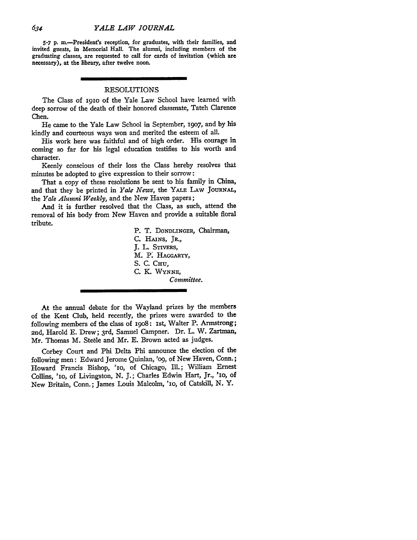**5-7** P. r.-President's reception, for graduates, with their families, and invited guests, in Memorial Hall. The alumni, including members of the graduating classes, are requested to call for cards of invitation (which are necessary), at the library, after twelve noon.

## RESOLUTIONS

The Class of I9IO of the Yale Law School have learned with deep sorrow of the death of their honored classmate, Tateh Clarence Chen.

He came to the Yale Law School in September, *19o7,* and by his kindly and courteous ways won and merited the esteem of all.

His work here was faithful and of high order. His courage in coming so far for his legal education testifies to his worth and character.

Keenly conscious of their loss the Class hereby resolves that minutes be adopted to give expression to their sorrow:

That a copy of these resolutions be sent to his family in China, and that they be printed in *Yale News,* the YALE LAW JOURNAL, the *Yale Alumni Weekly,* and the New Haven papers;

And it is further resolved that the Class, as such, attend the removal of his body from New Haven and provide a suitable floral tribute.

> P. T. DONDLINGER, Chairman, **C.** HAINS, JR., J. L. STIVERS, M. P. HAGGARTY, **S. C. CHU, C.** K. WYNNE, *Committee.*

At the annual debate for the Wayland prizes by the members of the Kent Club, held recently, the prizes were awarded to the following members of the class of i9o8: ist, Walter P. Armstrong; 2nd, Harold E. Drew; 3rd, Samuel Campner. Dr. L. W. Zartman, Mr. Thomas M. Steele and Mr. E. Brown acted as judges.

Corbey Court and Phi Delta Phi announce the election of the following men: Edward Jerome Quinlan, 'o9, of New Haven, Conn.; Howard Francis Bishop, 'io, of Chicago, Ill.; William Ernest Collins, 'io, of Livingston, **N. J.;** Charles Edwin Hart, Jr., 'Io, **of** New Britain, Conn.; James Louis Malcolm, 'IO, of Catskill, **N.** Y.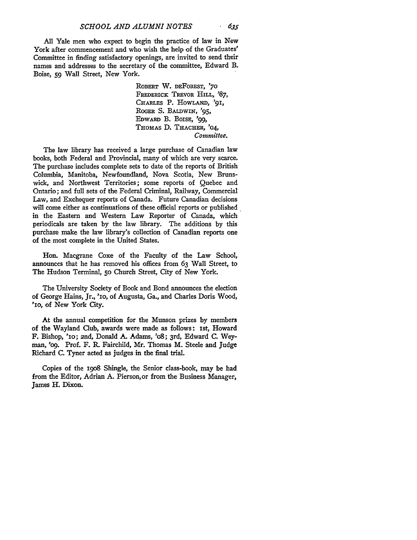**All** Yale men who expect to begin the practice of law in New York after commencement and who wish the help of the Graduates' Committee in finding satisfactory openings, are invited to send their names and addresses to the secretary of the committee, Edward B. Boise, 59 Wall Street, New York.

> ROBERT W. DEFOREST, **'70** FREDERICK TREVOR HILL, '87, CHARLES P. HOWLAND, '91, ROGER S. BALDWIN, '95, EDWARD B. BoIsE, **'99,** THOMAS **D.** THACHER, '04, *Committee.*

The law library has received a large purchase of Canadian law books, both Federal and Provincial, many of which are very scarce. The purchase includes complete sets to date of the reports of British Columbia, Manitoba, Newfoundland, Nova Scotia, New Brunswick, and Northwest Territories; some reports of Quebec and Ontario; and full sets of the Federal Criminal, Railway, Commercial Law, and Exchequer reports of Canada. Future Canadian decisions will come either as continuations of these official reports or published in the Eastern and Western Law Reporter of Canada, which periodicals are taken **by** the law library. The additions **by** this purchase make the law library's collection of Canadian reports one of the most complete in the United States.

Hon. Macgrane Coxe of the Faculty of the Law School, announces that he has removed his offices from **63** Wall Street, to The Hudson Terminal, **50** Church Street, City of New York.

The University Society of Book and Bond announces the election of George Hains, Jr., **'1O,** of Augusta, Ga., and Charles Doris Wood, *'1o,* of New York City.

At the annual competition for the Munson prizes **by** members of the Wayland Club, awards were made as follows: 1st, Howard F. Bishop, **'10;** 2nd, Donald **A.** Adams, **'08;** 3rd, Edward **C.** Weyman, 'o9. Prof. F. R. Fairchild, Mr. Thomas M. Steele and Judge Richard **C.** Tyner acted as judges in the final trial.

Copies of the i9o8 Shingle, the Senior class-book, may **be** had from the Editor, Adrian **A.** Pierson,or from the Business Manager, James H. Dixon.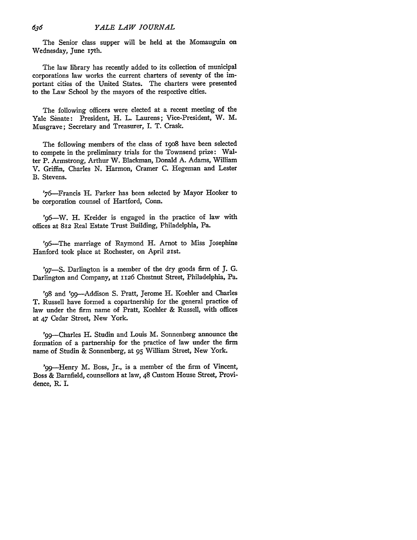The Senior class supper will be held at the Momauguin on Wednesday, June 17th.

The law library has recently added to its collection of municipal corporations law works the current charters of seventy of the important cities of the United States. The charters were presented to the Law School by the mayors of the respective cities.

The following officers were elected at a recent meeting of the Yale Senate: President, H. L. Laurens; Vice-President, W. M. Musgrave; Secretary and Treasurer, I. T. Crask.

The following members of the class of 19o8 have been selected to compete in the preliminary trials for the Townsend prize: Walter P. Armstrong, Arthur W. Blackman, Donald A. Adams, William V. Griffin, Charles N. Harmon, Cramer C. Hegeman and Lester B. Stevens.

'76-Francis H. Parker has been selected by Mayor Hooker to be corporation counsel of Hartford, Conn.

'96—W. H. Kreider is engaged in the practice of law with offices at 812 Real Estate Trust Building, Philadelphia, Pa.

'96-The marriage of Raymond H. Arnot to Miss Josephine Hanford took place at Rochester, on April 21st.

'97-S. Darlington is a member of the dry goods firm of J. **G.** Darlington and Company, at 1126 Chestnut Street, Philadelphia, Pa.

'98 and '99--Addison S. Pratt, Jerome H. Koehler and Charles T. Russell have formed a copartnership for the general practice of law under the firm name of Pratt, Koehler & Russell, with offices at 47 Cedar Street, New York.

'99--Charles H. Studin and Louis M. Sonnenberg announce the formation of a partnership for the practice of law under the firm name of Studin & Sonnenberg, at 95 William Street, New York.

'99--Henry M. Boss, Jr., is a member of the firm of Vincent, Boss & Barnfield, counsellors at law, 48 Custom House Street, Providence, R. I.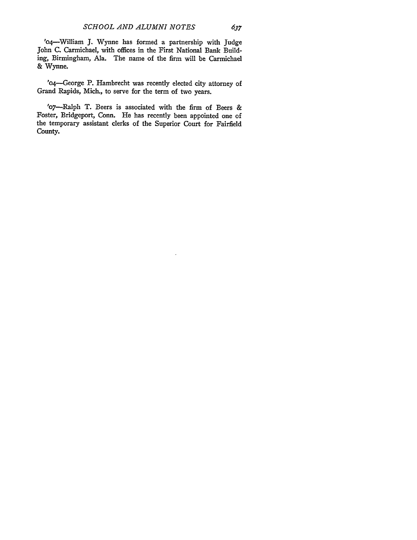'o4-William J. Wynne has formed a partnership with Judge John C. Carmichael, with offices in the First National Bank Building, Birmingham, Ala. The name of the firm will be Carmichael & Wynne.

'o4-George P. Hambrecht was recently elected city attorney of Grand Rapids, Mich., to serve for the term of two years.

'o7-Ralph T. Beers is associated with the firm of Beers & Foster, Bridgeport, Conn. He has recently been appointed one of the temporary assistant clerks of the Superior Court for Fairfield County.